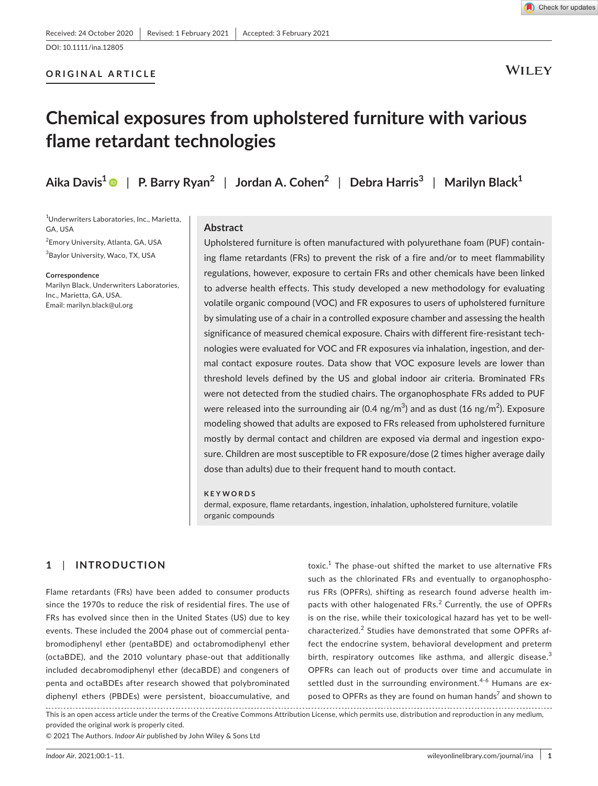# **ORIGINAL ARTICLE**

**WILEY** 

# **Chemical exposures from upholstered furniture with various flame retardant technologies**

**Aika Davis[1](https://orcid.org/0000-0001-8620-5311)** | **P. Barry Ryan<sup>2</sup>** | **Jordan A. Cohen<sup>2</sup>** | **Debra Harris<sup>3</sup>** | **Marilyn Black1**

 Underwriters Laboratories, Inc., Marietta, GA, USA Emory University, Atlanta, GA, USA Baylor University, Waco, TX, USA

#### **Correspondence**

Marilyn Black, Underwriters Laboratories, Inc., Marietta, GA, USA. Email: [marilyn.black@ul.org](mailto:marilyn.black@ul.org)

# **Abstract**

Upholstered furniture is often manufactured with polyurethane foam (PUF) containing flame retardants (FRs) to prevent the risk of a fire and/or to meet flammability regulations, however, exposure to certain FRs and other chemicals have been linked to adverse health effects. This study developed a new methodology for evaluating volatile organic compound (VOC) and FR exposures to users of upholstered furniture by simulating use of a chair in a controlled exposure chamber and assessing the health significance of measured chemical exposure. Chairs with different fire-resistant technologies were evaluated for VOC and FR exposures via inhalation, ingestion, and dermal contact exposure routes. Data show that VOC exposure levels are lower than threshold levels defined by the US and global indoor air criteria. Brominated FRs were not detected from the studied chairs. The organophosphate FRs added to PUF were released into the surrounding air (0.4 ng/m $^3$ ) and as dust (16 ng/m $^2$ ). Exposure modeling showed that adults are exposed to FRs released from upholstered furniture mostly by dermal contact and children are exposed via dermal and ingestion exposure. Children are most susceptible to FR exposure/dose (2 times higher average daily dose than adults) due to their frequent hand to mouth contact.

## **KEYWORDS**

dermal, exposure, flame retardants, ingestion, inhalation, upholstered furniture, volatile organic compounds

# **1**  | **INTRODUCTION**

Flame retardants (FRs) have been added to consumer products since the 1970s to reduce the risk of residential fires. The use of FRs has evolved since then in the United States (US) due to key events. These included the 2004 phase out of commercial pentabromodiphenyl ether (pentaBDE) and octabromodiphenyl ether (octaBDE), and the 2010 voluntary phase-out that additionally included decabromodiphenyl ether (decaBDE) and congeners of penta and octaBDEs after research showed that polybrominated diphenyl ethers (PBDEs) were persistent, bioaccumulative, and

toxic.<sup>1</sup> The phase-out shifted the market to use alternative FRs such as the chlorinated FRs and eventually to organophosphorus FRs (OPFRs), shifting as research found adverse health impacts with other halogenated FRs.<sup>2</sup> Currently, the use of OPFRs is on the rise, while their toxicological hazard has yet to be wellcharacterized.<sup>2</sup> Studies have demonstrated that some OPFRs affect the endocrine system, behavioral development and preterm birth, respiratory outcomes like asthma, and allergic disease. $3$ OPFRs can leach out of products over time and accumulate in settled dust in the surrounding environment.<sup>4-6</sup> Humans are exposed to OPFRs as they are found on human hands<sup>7</sup> and shown to

This is an open access article under the terms of the [Creative Commons Attribution](http://creativecommons.org/licenses/by/4.0/) License, which permits use, distribution and reproduction in any medium, provided the original work is properly cited.

© 2021 The Authors. *Indoor Air* published by John Wiley & Sons Ltd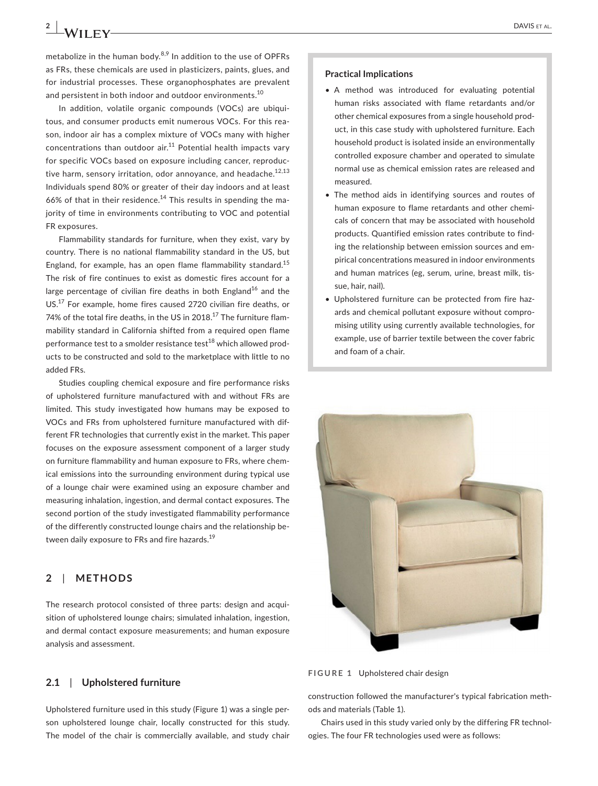metabolize in the human body.<sup>8,9</sup> In addition to the use of OPFRs as FRs, these chemicals are used in plasticizers, paints, glues, and for industrial processes. These organophosphates are prevalent and persistent in both indoor and outdoor environments.<sup>10</sup>

In addition, volatile organic compounds (VOCs) are ubiquitous, and consumer products emit numerous VOCs. For this reason, indoor air has a complex mixture of VOCs many with higher concentrations than outdoor  $air<sup>11</sup>$  Potential health impacts vary for specific VOCs based on exposure including cancer, reproductive harm, sensory irritation, odor annoyance, and headache.<sup>12,13</sup> Individuals spend 80% or greater of their day indoors and at least 66% of that in their residence.<sup>14</sup> This results in spending the majority of time in environments contributing to VOC and potential FR exposures.

Flammability standards for furniture, when they exist, vary by country. There is no national flammability standard in the US, but England, for example, has an open flame flammability standard.<sup>15</sup> The risk of fire continues to exist as domestic fires account for a large percentage of civilian fire deaths in both England<sup>16</sup> and the US.17 For example, home fires caused 2720 civilian fire deaths, or 74% of the total fire deaths, in the US in 2018.<sup>17</sup> The furniture flammability standard in California shifted from a required open flame performance test to a smolder resistance test $^{18}$  which allowed products to be constructed and sold to the marketplace with little to no added FRs.

Studies coupling chemical exposure and fire performance risks of upholstered furniture manufactured with and without FRs are limited. This study investigated how humans may be exposed to VOCs and FRs from upholstered furniture manufactured with different FR technologies that currently exist in the market. This paper focuses on the exposure assessment component of a larger study on furniture flammability and human exposure to FRs, where chemical emissions into the surrounding environment during typical use of a lounge chair were examined using an exposure chamber and measuring inhalation, ingestion, and dermal contact exposures. The second portion of the study investigated flammability performance of the differently constructed lounge chairs and the relationship between daily exposure to FRs and fire hazards.<sup>19</sup>

# **2**  | **METHODS**

The research protocol consisted of three parts: design and acquisition of upholstered lounge chairs; simulated inhalation, ingestion, and dermal contact exposure measurements; and human exposure analysis and assessment.

#### **2.1**  | **Upholstered furniture**

Upholstered furniture used in this study (Figure 1) was a single person upholstered lounge chair, locally constructed for this study. The model of the chair is commercially available, and study chair

#### **Practical Implications**

- A method was introduced for evaluating potential human risks associated with flame retardants and/or other chemical exposures from a single household product, in this case study with upholstered furniture. Each household product is isolated inside an environmentally controlled exposure chamber and operated to simulate normal use as chemical emission rates are released and measured.
- The method aids in identifying sources and routes of human exposure to flame retardants and other chemicals of concern that may be associated with household products. Quantified emission rates contribute to finding the relationship between emission sources and empirical concentrations measured in indoor environments and human matrices (eg, serum, urine, breast milk, tissue, hair, nail).
- Upholstered furniture can be protected from fire hazards and chemical pollutant exposure without compromising utility using currently available technologies, for example, use of barrier textile between the cover fabric and foam of a chair.



**FIGURE 1** Upholstered chair design

construction followed the manufacturer's typical fabrication methods and materials (Table 1).

Chairs used in this study varied only by the differing FR technologies. The four FR technologies used were as follows: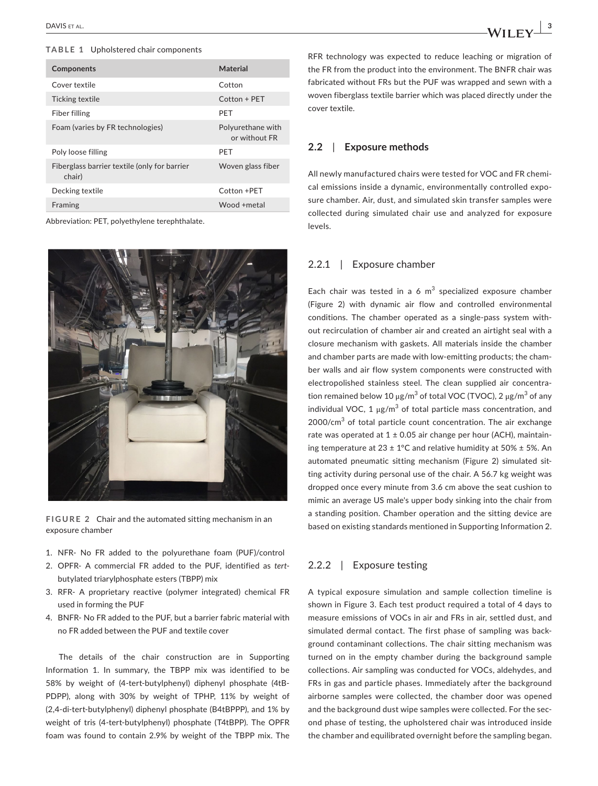## **TABLE 1** Upholstered chair components

| Components                                             | Material                           |
|--------------------------------------------------------|------------------------------------|
| Cover textile                                          | Cotton                             |
| Ticking textile                                        | Cotton + PET                       |
| Fiber filling                                          | PFT                                |
| Foam (varies by FR technologies)                       | Polyurethane with<br>or without FR |
| Poly loose filling                                     | PFT                                |
| Fiberglass barrier textile (only for barrier<br>chair) | Woven glass fiber                  |
| Decking textile                                        | Cotton +PFT                        |
| Framing                                                | Wood +metal                        |
|                                                        |                                    |

Abbreviation: PET, polyethylene terephthalate.



**FIGURE 2** Chair and the automated sitting mechanism in an exposure chamber

- 1. NFR- No FR added to the polyurethane foam (PUF)/control
- 2. OPFR- A commercial FR added to the PUF, identified as *tert*butylated triarylphosphate esters (TBPP) mix
- 3. RFR- A proprietary reactive (polymer integrated) chemical FR used in forming the PUF
- 4. BNFR- No FR added to the PUF, but a barrier fabric material with no FR added between the PUF and textile cover

The details of the chair construction are in Supporting Information 1. In summary, the TBPP mix was identified to be 58% by weight of (4-tert-butylphenyl) diphenyl phosphate (4tB-PDPP), along with 30% by weight of TPHP, 11% by weight of (2,4-di-tert-butylphenyl) diphenyl phosphate (B4tBPPP), and 1% by weight of tris (4-tert-butylphenyl) phosphate (T4tBPP). The OPFR foam was found to contain 2.9% by weight of the TBPP mix. The

RFR technology was expected to reduce leaching or migration of the FR from the product into the environment. The BNFR chair was fabricated without FRs but the PUF was wrapped and sewn with a woven fiberglass textile barrier which was placed directly under the cover textile.

## **2.2**  | **Exposure methods**

All newly manufactured chairs were tested for VOC and FR chemical emissions inside a dynamic, environmentally controlled exposure chamber. Air, dust, and simulated skin transfer samples were collected during simulated chair use and analyzed for exposure levels.

## 2.2.1 | Exposure chamber

Each chair was tested in a 6  $m^3$  specialized exposure chamber (Figure 2) with dynamic air flow and controlled environmental conditions. The chamber operated as a single-pass system without recirculation of chamber air and created an airtight seal with a closure mechanism with gaskets. All materials inside the chamber and chamber parts are made with low-emitting products; the chamber walls and air flow system components were constructed with electropolished stainless steel. The clean supplied air concentration remained below 10 μg/m $^3$  of total VOC (TVOC), 2 μg/m $^3$  of any individual VOC,  $1 \mu g/m^3$  of total particle mass concentration, and 2000/cm<sup>3</sup> of total particle count concentration. The air exchange rate was operated at  $1 \pm 0.05$  air change per hour (ACH), maintaining temperature at  $23 \pm 1^{\circ}$ C and relative humidity at  $50\% \pm 5\%$ . An automated pneumatic sitting mechanism (Figure 2) simulated sitting activity during personal use of the chair. A 56.7 kg weight was dropped once every minute from 3.6 cm above the seat cushion to mimic an average US male's upper body sinking into the chair from a standing position. Chamber operation and the sitting device are based on existing standards mentioned in Supporting Information 2.

# 2.2.2 | Exposure testing

A typical exposure simulation and sample collection timeline is shown in Figure 3. Each test product required a total of 4 days to measure emissions of VOCs in air and FRs in air, settled dust, and simulated dermal contact. The first phase of sampling was background contaminant collections. The chair sitting mechanism was turned on in the empty chamber during the background sample collections. Air sampling was conducted for VOCs, aldehydes, and FRs in gas and particle phases. Immediately after the background airborne samples were collected, the chamber door was opened and the background dust wipe samples were collected. For the second phase of testing, the upholstered chair was introduced inside the chamber and equilibrated overnight before the sampling began.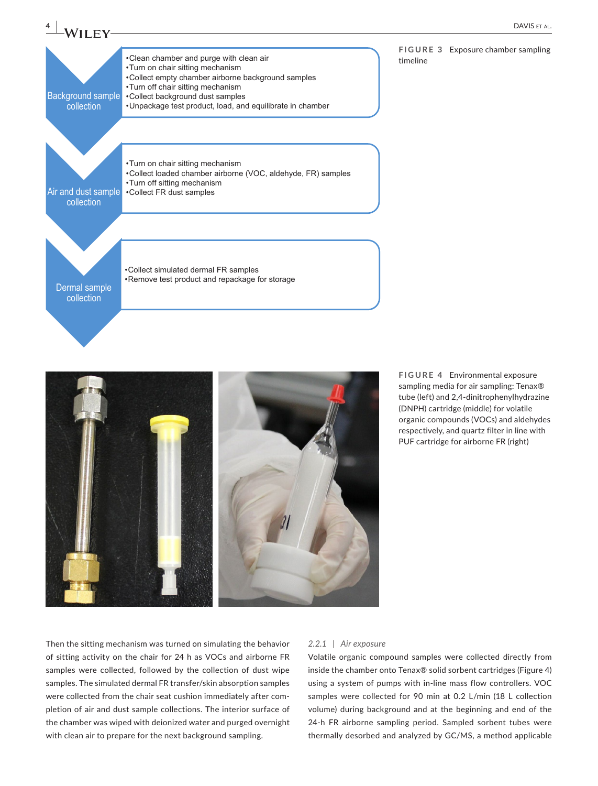

**FIGURE 4** Environmental exposure sampling media for air sampling: Tenax® tube (left) and 2,4-dinitrophenylhydrazine (DNPH) cartridge (middle) for volatile organic compounds (VOCs) and aldehydes respectively, and quartz filter in line with PUF cartridge for airborne FR (right)

Then the sitting mechanism was turned on simulating the behavior of sitting activity on the chair for 24 h as VOCs and airborne FR samples were collected, followed by the collection of dust wipe samples. The simulated dermal FR transfer/skin absorption samples were collected from the chair seat cushion immediately after completion of air and dust sample collections. The interior surface of the chamber was wiped with deionized water and purged overnight with clean air to prepare for the next background sampling.

#### *2.2.1 | Air exposure*

Volatile organic compound samples were collected directly from inside the chamber onto Tenax® solid sorbent cartridges (Figure 4) using a system of pumps with in-line mass flow controllers. VOC samples were collected for 90 min at 0.2 L/min (18 L collection volume) during background and at the beginning and end of the 24-h FR airborne sampling period. Sampled sorbent tubes were thermally desorbed and analyzed by GC/MS, a method applicable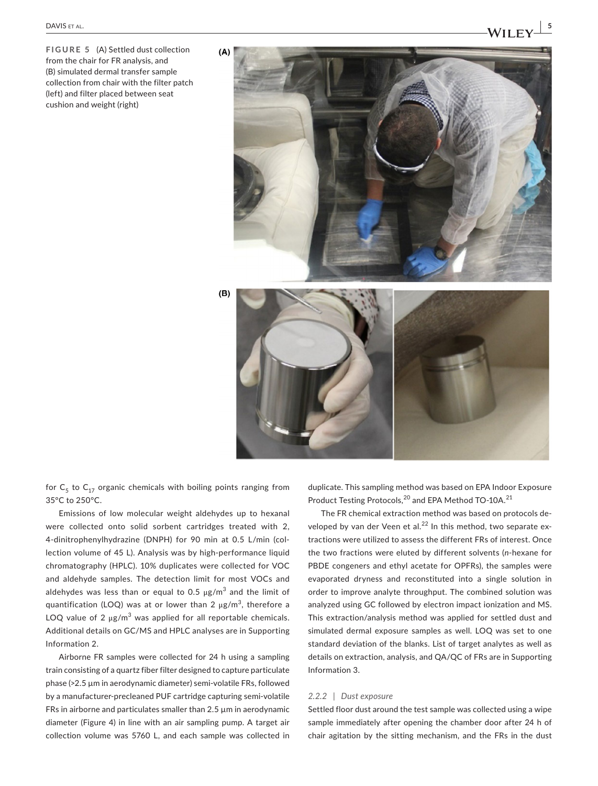**FIGURE 5** (A) Settled dust collection from the chair for FR analysis, and (B) simulated dermal transfer sample collection from chair with the filter patch (left) and filter placed between seat cushion and weight (right)



for  $C_5$  to  $C_{17}$  organic chemicals with boiling points ranging from 35°C to 250°C.

Emissions of low molecular weight aldehydes up to hexanal were collected onto solid sorbent cartridges treated with 2, 4-dinitrophenylhydrazine (DNPH) for 90 min at 0.5 L/min (collection volume of 45 L). Analysis was by high-performance liquid chromatography (HPLC). 10% duplicates were collected for VOC and aldehyde samples. The detection limit for most VOCs and aldehydes was less than or equal to 0.5  $\mu$ g/m $^3$  and the limit of quantification (LOQ) was at or lower than 2  $\mu$ g/m $^3$ , therefore a LOQ value of 2  $\mu$ g/m<sup>3</sup> was applied for all reportable chemicals. Additional details on GC/MS and HPLC analyses are in Supporting Information 2.

Airborne FR samples were collected for 24 h using a sampling train consisting of a quartz fiber filter designed to capture particulate phase (>2.5 µm in aerodynamic diameter) semi-volatile FRs, followed by a manufacturer-precleaned PUF cartridge capturing semi-volatile FRs in airborne and particulates smaller than  $2.5 \mu m$  in aerodynamic diameter (Figure 4) in line with an air sampling pump. A target air collection volume was 5760 L, and each sample was collected in duplicate. This sampling method was based on EPA Indoor Exposure Product Testing Protocols,<sup>20</sup> and EPA Method TO-10A.<sup>21</sup>

The FR chemical extraction method was based on protocols developed by van der Veen et al. $^{22}$  In this method, two separate extractions were utilized to assess the different FRs of interest. Once the two fractions were eluted by different solvents (*n*-hexane for PBDE congeners and ethyl acetate for OPFRs), the samples were evaporated dryness and reconstituted into a single solution in order to improve analyte throughput. The combined solution was analyzed using GC followed by electron impact ionization and MS. This extraction/analysis method was applied for settled dust and simulated dermal exposure samples as well. LOQ was set to one standard deviation of the blanks. List of target analytes as well as details on extraction, analysis, and QA/QC of FRs are in Supporting Information 3.

#### *2.2.2 | Dust exposure*

Settled floor dust around the test sample was collected using a wipe sample immediately after opening the chamber door after 24 h of chair agitation by the sitting mechanism, and the FRs in the dust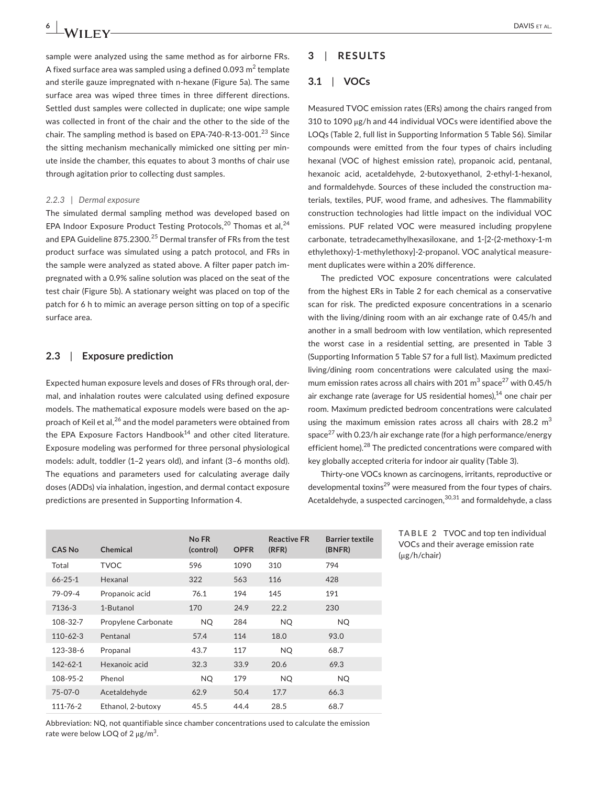sample were analyzed using the same method as for airborne FRs. A fixed surface area was sampled using a defined 0.093  $\text{m}^2$  template and sterile gauze impregnated with n-hexane (Figure 5a). The same surface area was wiped three times in three different directions. Settled dust samples were collected in duplicate; one wipe sample was collected in front of the chair and the other to the side of the chair. The sampling method is based on EPA-740-R-13-001. $^{23}$  Since the sitting mechanism mechanically mimicked one sitting per minute inside the chamber, this equates to about 3 months of chair use through agitation prior to collecting dust samples.

#### *2.2.3 | Dermal exposure*

The simulated dermal sampling method was developed based on EPA Indoor Exposure Product Testing Protocols,<sup>20</sup> Thomas et al,<sup>24</sup> and EPA Guideline 875.2300.<sup>25</sup> Dermal transfer of FRs from the test product surface was simulated using a patch protocol, and FRs in the sample were analyzed as stated above. A filter paper patch impregnated with a 0.9% saline solution was placed on the seat of the test chair (Figure 5b). A stationary weight was placed on top of the patch for 6 h to mimic an average person sitting on top of a specific surface area.

## **2.3**  | **Exposure prediction**

Expected human exposure levels and doses of FRs through oral, dermal, and inhalation routes were calculated using defined exposure models. The mathematical exposure models were based on the approach of Keil et al,<sup>26</sup> and the model parameters were obtained from the EPA Exposure Factors Handbook $14$  and other cited literature. Exposure modeling was performed for three personal physiological models: adult, toddler (1–2 years old), and infant (3–6 months old). The equations and parameters used for calculating average daily doses (ADDs) via inhalation, ingestion, and dermal contact exposure predictions are presented in Supporting Information 4.

# **3**  | **RESULTS**

# **3.1**  | **VOCs**

Measured TVOC emission rates (ERs) among the chairs ranged from 310 to 1090 μg/h and 44 individual VOCs were identified above the LOQs (Table 2, full list in Supporting Information 5 Table S6). Similar compounds were emitted from the four types of chairs including hexanal (VOC of highest emission rate), propanoic acid, pentanal, hexanoic acid, acetaldehyde, 2-butoxyethanol, 2-ethyl-1-hexanol, and formaldehyde. Sources of these included the construction materials, textiles, PUF, wood frame, and adhesives. The flammability construction technologies had little impact on the individual VOC emissions. PUF related VOC were measured including propylene carbonate, tetradecamethylhexasiloxane, and 1-[2-(2-methoxy-1-m ethylethoxy)-1-methylethoxy]-2-propanol. VOC analytical measurement duplicates were within a 20% difference.

The predicted VOC exposure concentrations were calculated from the highest ERs in Table 2 for each chemical as a conservative scan for risk. The predicted exposure concentrations in a scenario with the living/dining room with an air exchange rate of 0.45/h and another in a small bedroom with low ventilation, which represented the worst case in a residential setting, are presented in Table 3 (Supporting Information 5 Table S7 for a full list). Maximum predicted living/dining room concentrations were calculated using the maximum emission rates across all chairs with 201  $\mathrm{m}^3$  space $^{27}$  with 0.45/h air exchange rate (average for US residential homes), $14$  one chair per room. Maximum predicted bedroom concentrations were calculated using the maximum emission rates across all chairs with 28.2  $m<sup>3</sup>$ space<sup>27</sup> with 0.23/h air exchange rate (for a high performance/energy efficient home).<sup>28</sup> The predicted concentrations were compared with key globally accepted criteria for indoor air quality (Table 3).

Thirty-one VOCs known as carcinogens, irritants, reproductive or developmental toxins<sup>29</sup> were measured from the four types of chairs. Acetaldehyde, a suspected carcinogen,<sup>30,31</sup> and formaldehyde, a class

| <b>CAS No</b>  | Chemical            | No FR<br>(control) | <b>OPFR</b> | <b>Reactive FR</b><br>(RFR) | <b>Barrier textile</b><br>(BNFR) |
|----------------|---------------------|--------------------|-------------|-----------------------------|----------------------------------|
| Total          | <b>TVOC</b>         | 596                | 1090        | 310                         | 794                              |
| $66 - 25 - 1$  | Hexanal             | 322                | 563         | 116                         | 428                              |
| 79-09-4        | Propanoic acid      | 76.1               | 194         | 145                         | 191                              |
| 7136-3         | 1-Butanol           | 170                | 24.9        | 22.2                        | 230                              |
| 108-32-7       | Propylene Carbonate | NQ.                | 284         | NQ.                         | NQ                               |
| $110 - 62 - 3$ | Pentanal            | 57.4               | 114         | 18.0                        | 93.0                             |
| 123-38-6       | Propanal            | 43.7               | 117         | <b>NQ</b>                   | 68.7                             |
| $142 - 62 - 1$ | Hexanoic acid       | 32.3               | 33.9        | 20.6                        | 69.3                             |
| 108-95-2       | Phenol              | <b>NQ</b>          | 179         | <b>NQ</b>                   | <b>NQ</b>                        |
| $75 - 07 - 0$  | Acetaldehyde        | 62.9               | 50.4        | 17.7                        | 66.3                             |
| 111-76-2       | Ethanol, 2-butoxy   | 45.5               | 44.4        | 28.5                        | 68.7                             |

**TABLE 2** TVOC and top ten individual VOCs and their average emission rate (μg/h/chair)

Abbreviation: NQ, not quantifiable since chamber concentrations used to calculate the emission rate were below LOQ of 2  $\mu$ g/m $^3$ .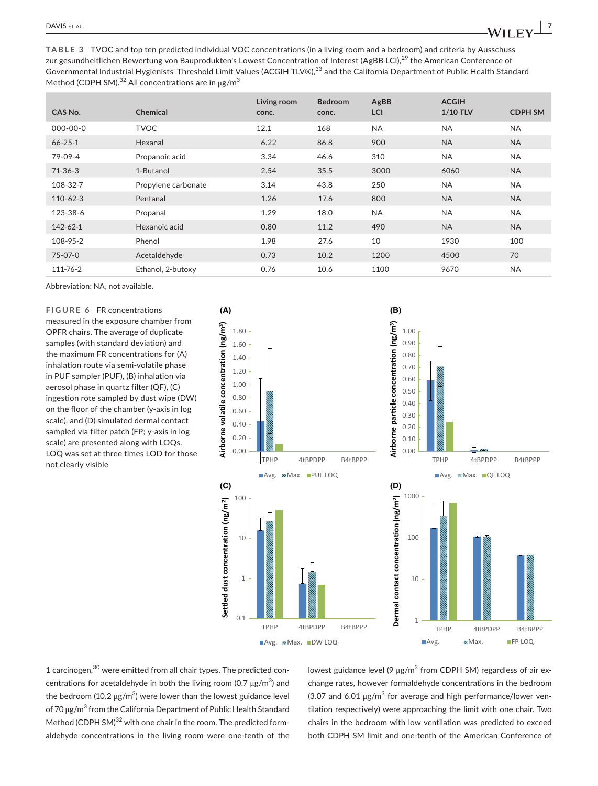**TABLE 3** TVOC and top ten predicted individual VOC concentrations (in a living room and a bedroom) and criteria by Ausschuss zur gesundheitlichen Bewertung von Bauprodukten's Lowest Concentration of Interest (AgBB LCI),<sup>29</sup> the American Conference of Governmental Industrial Hygienists' Threshold Limit Values (ACGIH TLV®),<sup>33</sup> and the California Department of Public Health Standard Method (CDPH SM).<sup>32</sup> All concentrations are in  $\mu$ g/m<sup>3</sup>

| CAS No.        | <b>Chemical</b>     | Living room<br>conc. | <b>Bedroom</b><br>conc. | AgBB<br>LCI | <b>ACGIH</b><br>1/10 TLV | <b>CDPH SM</b> |
|----------------|---------------------|----------------------|-------------------------|-------------|--------------------------|----------------|
| $000 - 00 - 0$ | <b>TVOC</b>         | 12.1                 | 168                     | <b>NA</b>   | <b>NA</b>                | <b>NA</b>      |
| $66 - 25 - 1$  | Hexanal             | 6.22                 | 86.8                    | 900         | <b>NA</b>                | <b>NA</b>      |
| 79-09-4        | Propanoic acid      | 3.34                 | 46.6                    | 310         | <b>NA</b>                | <b>NA</b>      |
| $71-36-3$      | 1-Butanol           | 2.54                 | 35.5                    | 3000        | 6060                     | <b>NA</b>      |
| 108-32-7       | Propylene carbonate | 3.14                 | 43.8                    | 250         | <b>NA</b>                | <b>NA</b>      |
| $110 - 62 - 3$ | Pentanal            | 1.26                 | 17.6                    | 800         | <b>NA</b>                | <b>NA</b>      |
| 123-38-6       | Propanal            | 1.29                 | 18.0                    | <b>NA</b>   | <b>NA</b>                | <b>NA</b>      |
| 142-62-1       | Hexanoic acid       | 0.80                 | 11.2                    | 490         | <b>NA</b>                | <b>NA</b>      |
| 108-95-2       | Phenol              | 1.98                 | 27.6                    | 10          | 1930                     | 100            |
| $75 - 07 - 0$  | Acetaldehyde        | 0.73                 | 10.2                    | 1200        | 4500                     | 70             |
| 111-76-2       | Ethanol, 2-butoxy   | 0.76                 | 10.6                    | 1100        | 9670                     | <b>NA</b>      |

Abbreviation: NA, not available.

**FIGURE 6** FR concentrations measured in the exposure chamber from OPFR chairs. The average of duplicate samples (with standard deviation) and the maximum FR concentrations for (A) inhalation route via semi-volatile phase in PUF sampler (PUF), (B) inhalation via aerosol phase in quartz filter (QF), (C) ingestion rote sampled by dust wipe (DW) on the floor of the chamber (y-axis in log scale), and (D) simulated dermal contact sampled via filter patch (FP; y-axis in log scale) are presented along with LOQs. LOQ was set at three times LOD for those not clearly visible



1 carcinogen,30 were emitted from all chair types. The predicted concentrations for acetaldehyde in both the living room (0.7  $\mu$ g/m $^3$ ) and the bedroom (10.2 μg/m $^3$ ) were lower than the lowest guidance level of 70 μg/m<sup>3</sup> from the California Department of Public Health Standard Method (CDPH SM)<sup>32</sup> with one chair in the room. The predicted formaldehyde concentrations in the living room were one-tenth of the

lowest guidance level (9  $\mu$ g/m $^3$  from CDPH SM) regardless of air exchange rates, however formaldehyde concentrations in the bedroom (3.07 and 6.01  $\mu$ g/m<sup>3</sup> for average and high performance/lower ventilation respectively) were approaching the limit with one chair. Two chairs in the bedroom with low ventilation was predicted to exceed both CDPH SM limit and one-tenth of the American Conference of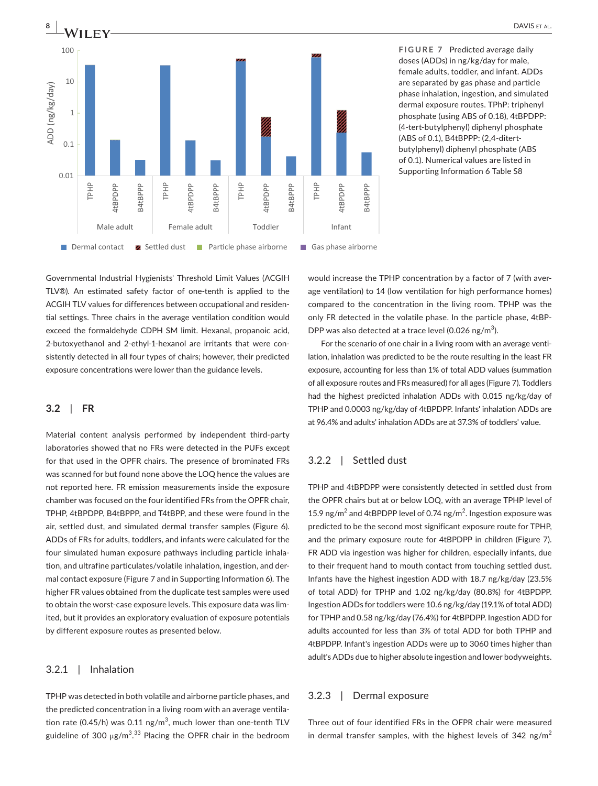

**FIGURE 7** Predicted average daily doses (ADDs) in ng/kg/day for male, female adults, toddler, and infant. ADDs are separated by gas phase and particle phase inhalation, ingestion, and simulated dermal exposure routes. TPhP: triphenyl phosphate (using ABS of 0.18), 4tBPDPP: (4-tert-butylphenyl) diphenyl phosphate (ABS of 0.1), B4tBPPP: (2,4-ditertbutylphenyl) diphenyl phosphate (ABS of 0.1). Numerical values are listed in

Governmental Industrial Hygienists' Threshold Limit Values (ACGIH TLV®). An estimated safety factor of one-tenth is applied to the ACGIH TLV values for differences between occupational and residential settings. Three chairs in the average ventilation condition would exceed the formaldehyde CDPH SM limit. Hexanal, propanoic acid, 2-butoxyethanol and 2-ethyl-1-hexanol are irritants that were consistently detected in all four types of chairs; however, their predicted exposure concentrations were lower than the guidance levels.

#### **3.2**  | **FR**

Material content analysis performed by independent third-party laboratories showed that no FRs were detected in the PUFs except for that used in the OPFR chairs. The presence of brominated FRs was scanned for but found none above the LOQ hence the values are not reported here. FR emission measurements inside the exposure chamber was focused on the four identified FRs from the OPFR chair, TPHP, 4tBPDPP, B4tBPPP, and T4tBPP, and these were found in the air, settled dust, and simulated dermal transfer samples (Figure 6). ADDs of FRs for adults, toddlers, and infants were calculated for the four simulated human exposure pathways including particle inhalation, and ultrafine particulates/volatile inhalation, ingestion, and dermal contact exposure (Figure 7 and in Supporting Information 6). The higher FR values obtained from the duplicate test samples were used to obtain the worst-case exposure levels. This exposure data was limited, but it provides an exploratory evaluation of exposure potentials by different exposure routes as presented below.

# 3.2.1 | Inhalation

TPHP was detected in both volatile and airborne particle phases, and the predicted concentration in a living room with an average ventilation rate (0.45/h) was 0.11 ng/m $^3$ , much lower than one-tenth TLV guideline of 300  $\mu$ g/m $^{3.33}$  Placing the OPFR chair in the bedroom would increase the TPHP concentration by a factor of 7 (with average ventilation) to 14 (low ventilation for high performance homes) compared to the concentration in the living room. TPHP was the only FR detected in the volatile phase. In the particle phase, 4tBP-DPP was also detected at a trace level (0.026 ng/m<sup>3</sup>).

For the scenario of one chair in a living room with an average ventilation, inhalation was predicted to be the route resulting in the least FR exposure, accounting for less than 1% of total ADD values (summation of all exposure routes and FRs measured) for all ages (Figure 7). Toddlers had the highest predicted inhalation ADDs with 0.015 ng/kg/day of TPHP and 0.0003 ng/kg/day of 4tBPDPP. Infants' inhalation ADDs are at 96.4% and adults' inhalation ADDs are at 37.3% of toddlers' value.

# 3.2.2 | Settled dust

TPHP and 4tBPDPP were consistently detected in settled dust from the OPFR chairs but at or below LOQ, with an average TPHP level of 15.9 ng/m<sup>2</sup> and 4tBPDPP level of 0.74 ng/m<sup>2</sup>. Ingestion exposure was predicted to be the second most significant exposure route for TPHP, and the primary exposure route for 4tBPDPP in children (Figure 7). FR ADD via ingestion was higher for children, especially infants, due to their frequent hand to mouth contact from touching settled dust. Infants have the highest ingestion ADD with 18.7 ng/kg/day (23.5% of total ADD) for TPHP and 1.02 ng/kg/day (80.8%) for 4tBPDPP. Ingestion ADDs for toddlers were 10.6 ng/kg/day (19.1% of total ADD) for TPHP and 0.58 ng/kg/day (76.4%) for 4tBPDPP. Ingestion ADD for adults accounted for less than 3% of total ADD for both TPHP and 4tBPDPP. Infant's ingestion ADDs were up to 3060 times higher than adult's ADDs due to higher absolute ingestion and lower bodyweights.

#### 3.2.3 | Dermal exposure

Three out of four identified FRs in the OFPR chair were measured in dermal transfer samples, with the highest levels of 342 ng/m<sup>2</sup>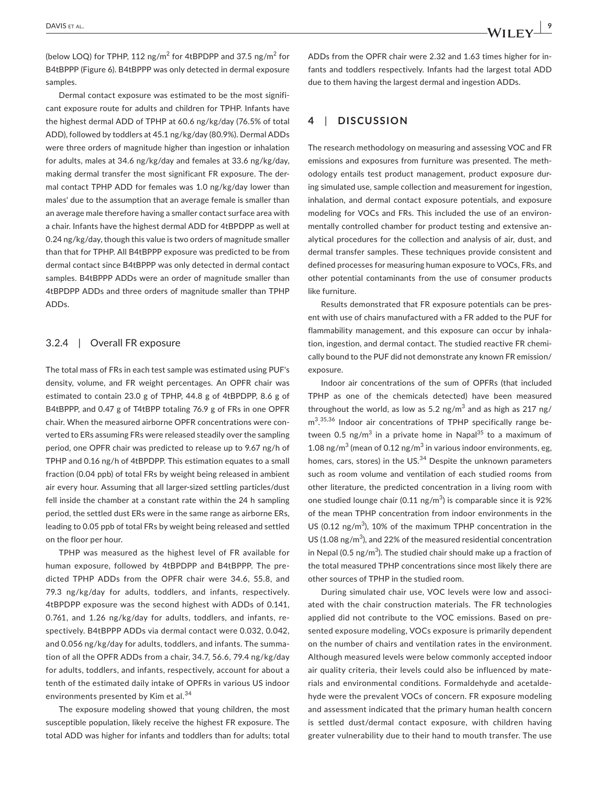(below LOQ) for TPHP, 112 ng/m<sup>2</sup> for 4tBPDPP and 37.5 ng/m<sup>2</sup> for B4tBPPP (Figure 6). B4tBPPP was only detected in dermal exposure samples.

Dermal contact exposure was estimated to be the most significant exposure route for adults and children for TPHP. Infants have the highest dermal ADD of TPHP at 60.6 ng/kg/day (76.5% of total ADD), followed by toddlers at 45.1 ng/kg/day (80.9%). Dermal ADDs were three orders of magnitude higher than ingestion or inhalation for adults, males at 34.6 ng/kg/day and females at 33.6 ng/kg/day, making dermal transfer the most significant FR exposure. The dermal contact TPHP ADD for females was 1.0 ng/kg/day lower than males' due to the assumption that an average female is smaller than an average male therefore having a smaller contact surface area with a chair. Infants have the highest dermal ADD for 4tBPDPP as well at 0.24 ng/kg/day, though this value is two orders of magnitude smaller than that for TPHP. All B4tBPPP exposure was predicted to be from dermal contact since B4tBPPP was only detected in dermal contact samples. B4tBPPP ADDs were an order of magnitude smaller than 4tBPDPP ADDs and three orders of magnitude smaller than TPHP ADDs.

# 3.2.4 | Overall FR exposure

The total mass of FRs in each test sample was estimated using PUF's density, volume, and FR weight percentages. An OPFR chair was estimated to contain 23.0 g of TPHP, 44.8 g of 4tBPDPP, 8.6 g of B4tBPPP, and 0.47 g of T4tBPP totaling 76.9 g of FRs in one OPFR chair. When the measured airborne OPFR concentrations were converted to ERs assuming FRs were released steadily over the sampling period, one OPFR chair was predicted to release up to 9.67 ng/h of TPHP and 0.16 ng/h of 4tBPDPP. This estimation equates to a small fraction (0.04 ppb) of total FRs by weight being released in ambient air every hour. Assuming that all larger-sized settling particles/dust fell inside the chamber at a constant rate within the 24 h sampling period, the settled dust ERs were in the same range as airborne ERs, leading to 0.05 ppb of total FRs by weight being released and settled on the floor per hour.

TPHP was measured as the highest level of FR available for human exposure, followed by 4tBPDPP and B4tBPPP. The predicted TPHP ADDs from the OPFR chair were 34.6, 55.8, and 79.3 ng/kg/day for adults, toddlers, and infants, respectively. 4tBPDPP exposure was the second highest with ADDs of 0.141, 0.761, and 1.26 ng/kg/day for adults, toddlers, and infants, respectively. B4tBPPP ADDs via dermal contact were 0.032, 0.042, and 0.056 ng/kg/day for adults, toddlers, and infants. The summation of all the OPFR ADDs from a chair, 34.7, 56.6, 79.4 ng/kg/day for adults, toddlers, and infants, respectively, account for about a tenth of the estimated daily intake of OPFRs in various US indoor environments presented by Kim et al.<sup>34</sup>

The exposure modeling showed that young children, the most susceptible population, likely receive the highest FR exposure. The total ADD was higher for infants and toddlers than for adults; total

ADDs from the OPFR chair were 2.32 and 1.63 times higher for infants and toddlers respectively. Infants had the largest total ADD due to them having the largest dermal and ingestion ADDs.

# **4**  | **DISCUSSION**

The research methodology on measuring and assessing VOC and FR emissions and exposures from furniture was presented. The methodology entails test product management, product exposure during simulated use, sample collection and measurement for ingestion, inhalation, and dermal contact exposure potentials, and exposure modeling for VOCs and FRs. This included the use of an environmentally controlled chamber for product testing and extensive analytical procedures for the collection and analysis of air, dust, and dermal transfer samples. These techniques provide consistent and defined processes for measuring human exposure to VOCs, FRs, and other potential contaminants from the use of consumer products like furniture.

Results demonstrated that FR exposure potentials can be present with use of chairs manufactured with a FR added to the PUF for flammability management, and this exposure can occur by inhalation, ingestion, and dermal contact. The studied reactive FR chemically bound to the PUF did not demonstrate any known FR emission/ exposure.

Indoor air concentrations of the sum of OPFRs (that included TPHP as one of the chemicals detected) have been measured throughout the world, as low as 5.2 ng/m<sup>3</sup> and as high as 217 ng/ m<sup>3</sup>.<sup>35,36</sup> Indoor air concentrations of TPHP specifically range between 0.5 ng/m<sup>3</sup> in a private home in Napal<sup>35</sup> to a maximum of 1.08 ng/m<sup>3</sup> (mean of 0.12 ng/m<sup>3</sup> in various indoor environments, eg, homes, cars, stores) in the US.<sup>34</sup> Despite the unknown parameters such as room volume and ventilation of each studied rooms from other literature, the predicted concentration in a living room with one studied lounge chair (0.11 ng/m<sup>3</sup>) is comparable since it is 92% of the mean TPHP concentration from indoor environments in the US (0.12 ng/ $m<sup>3</sup>$ ), 10% of the maximum TPHP concentration in the US (1.08 ng/ $m<sup>3</sup>$ ), and 22% of the measured residential concentration in Nepal (0.5  $\text{ng/m}^3$ ). The studied chair should make up a fraction of the total measured TPHP concentrations since most likely there are other sources of TPHP in the studied room.

During simulated chair use, VOC levels were low and associated with the chair construction materials. The FR technologies applied did not contribute to the VOC emissions. Based on presented exposure modeling, VOCs exposure is primarily dependent on the number of chairs and ventilation rates in the environment. Although measured levels were below commonly accepted indoor air quality criteria, their levels could also be influenced by materials and environmental conditions. Formaldehyde and acetaldehyde were the prevalent VOCs of concern. FR exposure modeling and assessment indicated that the primary human health concern is settled dust/dermal contact exposure, with children having greater vulnerability due to their hand to mouth transfer. The use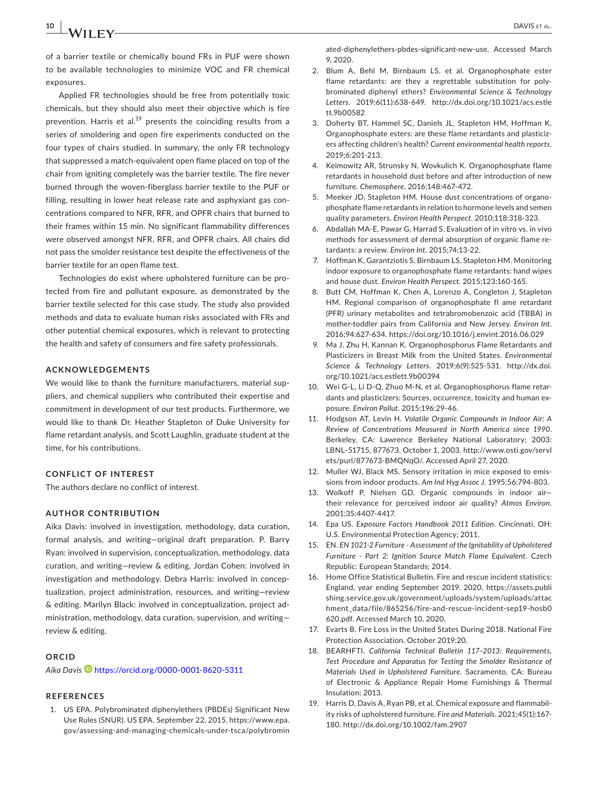of a barrier textile or chemically bound FRs in PUF were shown to be available technologies to minimize VOC and FR chemical exposures.

Applied FR technologies should be free from potentially toxic chemicals, but they should also meet their objective which is fire prevention. Harris et al.<sup>19</sup> presents the coinciding results from a series of smoldering and open fire experiments conducted on the four types of chairs studied. In summary, the only FR technology that suppressed a match-equivalent open flame placed on top of the chair from igniting completely was the barrier textile. The fire never burned through the woven-fiberglass barrier textile to the PUF or filling, resulting in lower heat release rate and asphyxiant gas concentrations compared to NFR, RFR, and OPFR chairs that burned to their frames within 15 min. No significant flammability differences were observed amongst NFR, RFR, and OPFR chairs. All chairs did not pass the smolder resistance test despite the effectiveness of the barrier textile for an open flame test.

Technologies do exist where upholstered furniture can be protected from fire and pollutant exposure, as demonstrated by the barrier textile selected for this case study. The study also provided methods and data to evaluate human risks associated with FRs and other potential chemical exposures, which is relevant to protecting the health and safety of consumers and fire safety professionals.

#### **ACKNOWLEDGEMENTS**

We would like to thank the furniture manufacturers, material suppliers, and chemical suppliers who contributed their expertise and commitment in development of our test products. Furthermore, we would like to thank Dr. Heather Stapleton of Duke University for flame retardant analysis, and Scott Laughlin, graduate student at the time, for his contributions.

#### **CONFLICT OF INTEREST**

The authors declare no conflict of interest.

## **AUTHOR CONTRIBUTION**

Aika Davis: involved in investigation, methodology, data curation, formal analysis, and writing—original draft preparation. P. Barry Ryan: involved in supervision, conceptualization, methodology, data curation, and writing—review & editing. Jordan Cohen: involved in investigation and methodology. Debra Harris: involved in conceptualization, project administration, resources, and writing—review & editing. Marilyn Black: involved in conceptualization, project administration, methodology, data curation, supervision, and writing review & editing.

#### **ORCID**

*Aika Davis* <https://orcid.org/0000-0001-8620-5311>

# **REFERENCES**

1. US EPA. Polybrominated diphenylethers (PBDEs) Significant New Use Rules (SNUR). US EPA. September 22, 2015. [https://www.epa.](https://www.epa.gov/assessing-and-managing-chemicals-under-tsca/polybrominated-diphenylethers-pbdes-significant-new-use) [gov/assessing-and-managing-chemicals-under-tsca/polybromin](https://www.epa.gov/assessing-and-managing-chemicals-under-tsca/polybrominated-diphenylethers-pbdes-significant-new-use)

[ated-diphenylethers-pbdes-significant-new-use](https://www.epa.gov/assessing-and-managing-chemicals-under-tsca/polybrominated-diphenylethers-pbdes-significant-new-use). Accessed March 9, 2020.

- 2. Blum A, Behl M, Birnbaum LS, et al. Organophosphate ester flame retardants: are they a regrettable substitution for polybrominated diphenyl ethers? *Environmental Science & Technology Letters*. 2019;6(11):638-649. [http://dx.doi.org/10.1021/acs.estle](http://dx.doi.org/10.1021/acs.estlett.9b00582) [tt.9b00582](http://dx.doi.org/10.1021/acs.estlett.9b00582)
- 3. Doherty BT, Hammel SC, Daniels JL, Stapleton HM, Hoffman K. Organophosphate esters: are these flame retardants and plasticizers affecting children's health? *Current environmental health reports*. 2019;6:201-213.
- 4. Keimowitz AR, Strunsky N, Wovkulich K. Organophosphate flame retardants in household dust before and after introduction of new furniture. *Chemosphere*. 2016;148:467-472.
- 5. Meeker JD, Stapleton HM. House dust concentrations of organophosphate flame retardants in relation to hormone levels and semen quality parameters. *Environ Health Perspect*. 2010;118:318-323.
- 6. Abdallah MA-E, Pawar G, Harrad S. Evaluation of in vitro vs. in vivo methods for assessment of dermal absorption of organic flame retardants: a review. *Environ Int*. 2015;74:13-22.
- 7. Hoffman K, Garantziotis S, Birnbaum LS, Stapleton HM. Monitoring indoor exposure to organophosphate flame retardants: hand wipes and house dust. *Environ Health Perspect*. 2015;123:160-165.
- 8. Butt CM, Hoffman K, Chen A, Lorenzo A, Congleton J, Stapleton HM. Regional comparison of organophosphate fl ame retardant (PFR) urinary metabolites and tetrabromobenzoic acid (TBBA) in mother-toddler pairs from California and New Jersey. *Environ Int*. 2016;94:627-634. <https://doi.org/10.1016/j.envint.2016.06.029>
- 9. Ma J, Zhu H, Kannan K. Organophosphorus Flame Retardants and Plasticizers in Breast Milk from the United States. *Environmental Science & Technology Letters*. 2019;6(9):525-531. [http://dx.doi.](http://dx.doi.org/10.1021/acs.estlett.9b00394) [org/10.1021/acs.estlett.9b00394](http://dx.doi.org/10.1021/acs.estlett.9b00394)
- 10. Wei G-L, Li D-Q, Zhuo M-N, et al. Organophosphorus flame retardants and plasticizers: Sources, occurrence, toxicity and human exposure. *Environ Pollut*. 2015;196:29-46.
- 11. Hodgson AT, Levin H. *Volatile Organic Compounds in Indoor Air: A Review of Concentrations Measured in North America since 1990*. Berkeley, CA: Lawrence Berkeley National Laboratory; 2003: LBNL–51715, 877673. October 1, 2003. [http://www.osti.gov/servl](http://www.osti.gov/servlets/purl/877673-BMQNqO/) [ets/purl/877673-BMQNqO/.](http://www.osti.gov/servlets/purl/877673-BMQNqO/) Accessed April 27, 2020.
- 12. Muller WJ, Black MS. Sensory irritation in mice exposed to emissions from indoor products. *Am Ind Hyg Assoc J*. 1995;56:794-803.
- 13. Wolkoff P, Nielsen GD. Organic compounds in indoor air their relevance for perceived indoor air quality? *Atmos Environ*. 2001;35:4407-4417.
- 14. Epa US. *Exposure Factors Handbook 2011 Edition*. Cincinnati, OH: U.S. Environmental Protection Agency; 2011.
- 15. EN. *EN 1021-2 Furniture Assessment of the Ignitability of Upholstered Furniture - Part 2: Ignition Source Match Flame Equivalent*. Czech Republic: European Standards; 2014.
- 16. Home Office Statistical Bulletin. Fire and rescue incident statistics: England, year ending September 2019. 2020. [https://assets.publi](https://assets.publishing.service.gov.uk/government/uploads/system/uploads/attachment_data/file/865256/fire-and-rescue-incident-sep19-hosb0620.pdf) [shing.service.gov.uk/government/uploads/system/uploads/attac](https://assets.publishing.service.gov.uk/government/uploads/system/uploads/attachment_data/file/865256/fire-and-rescue-incident-sep19-hosb0620.pdf) [hment\\_data/file/865256/fire-and-rescue-incident-sep19-hosb0](https://assets.publishing.service.gov.uk/government/uploads/system/uploads/attachment_data/file/865256/fire-and-rescue-incident-sep19-hosb0620.pdf) [620.pdf](https://assets.publishing.service.gov.uk/government/uploads/system/uploads/attachment_data/file/865256/fire-and-rescue-incident-sep19-hosb0620.pdf). Accessed March 10, 2020.
- 17. Evarts B. Fire Loss in the United States During 2018. National Fire Protection Association. October 2019:20.
- 18. BEARHFTI. *California Technical Bulletin 117–2013: Requirements, Test Procedure and Apparatus for Testing the Smolder Resistance of Materials Used in Upholstered Furniture*. Sacramento, CA: Bureau of Electronic & Appliance Repair Home Furnishings & Thermal Insulation; 2013.
- 19. Harris D, Davis A, Ryan PB, et al. Chemical exposure and flammability risks of upholstered furniture. *Fire and Materials*. 2021;45(1):167- 180. <http://dx.doi.org/10.1002/fam.2907>